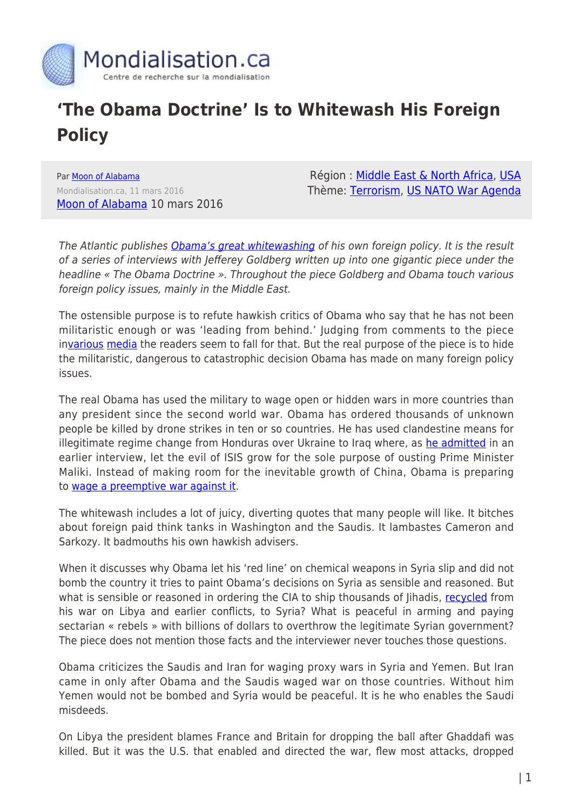

## **'The Obama Doctrine' Is to Whitewash His Foreign Policy**

Par [Moon of Alabama](https://www.mondialisation.ca/author/moon-of-alabama) Mondialisation.ca, 11 mars 2016 [Moon of Alabama](http://www.moonofalabama.org/2016/03/the-obama-doctrine-is-to-whitewash-his-foreign-policy.html) 10 mars 2016

Région : [Middle East & North Africa,](https://www.mondialisation.ca/region/middle-east) [USA](https://www.mondialisation.ca/region/usa) Thème: [Terrorism](https://www.mondialisation.ca/theme/9-11-war-on-terrorism), [US NATO War Agenda](https://www.mondialisation.ca/theme/us-nato-war-agenda)

The Atlantic publishes [Obama's great whitewashing](http://www.theatlantic.com/magazine/archive/2016/04/the-obama-doctrine/471525/) of his own foreign policy. It is the result of a series of interviews with Jefferey Goldberg written up into one gigantic piece under the headline « The Obama Doctrine ». Throughout the piece Goldberg and Obama touch various foreign policy issues, mainly in the Middle East.

The ostensible purpose is to refute hawkish critics of Obama who say that he has not been militaristic enough or was 'leading from behind.' Judging from comments to the piece in[various](http://www.politico.com/story/2016/03/obama-kerry-syria-220526) [media](http://www.nytimes.com/2016/03/10/world/middleeast/obama-criticizes-the-free-riders-among-americas-allies.html?ref=world&_r=0) the readers seem to fall for that. But the real purpose of the piece is to hide the militaristic, dangerous to catastrophic decision Obama has made on many foreign policy issues.

The real Obama has used the military to wage open or hidden wars in more countries than any president since the second world war. Obama has ordered thousands of unknown people be killed by drone strikes in ten or so countries. He has used clandestine means for illegitimate regime change from Honduras over Ukraine to Iraq where, as [he admitted](http://www.nytimes.com/2014/08/09/opinion/president-obama-thomas-l-friedman-iraq-and-world-affairs.html) in an earlier interview, let the evil of ISIS grow for the sole purpose of ousting Prime Minister Maliki. Instead of making room for the inevitable growth of China, Obama is preparing to [wage a preemptive war against it](http://atimes.com/2016/03/beheading-kim-preemptive-strikes-are-back-and-headed-for-china/).

The whitewash includes a lot of juicy, diverting quotes that many people will like. It bitches about foreign paid think tanks in Washington and the Saudis. It lambastes Cameron and Sarkozy. It badmouths his own hawkish advisers.

When it discusses why Obama let his 'red line' on chemical weapons in Syria slip and did not bomb the country it tries to paint Obama's decisions on Syria as sensible and reasoned. But what is sensible or reasoned in ordering the CIA to ship thousands of lihadis, [recycled](http://chinamatters.blogspot.de/2016/03/libya-worse-than-iraq-sorry-hillary.html) from his war on Libya and earlier conflicts, to Syria? What is peaceful in arming and paying sectarian « rebels » with billions of dollars to overthrow the legitimate Syrian government? The piece does not mention those facts and the interviewer never touches those questions.

Obama criticizes the Saudis and Iran for waging proxy wars in Syria and Yemen. But Iran came in only after Obama and the Saudis waged war on those countries. Without him Yemen would not be bombed and Syria would be peaceful. It is he who enables the Saudi misdeeds.

On Libya the president blames France and Britain for dropping the ball after Ghaddafi was killed. But it was the U.S. that enabled and directed the war, flew most attacks, dropped